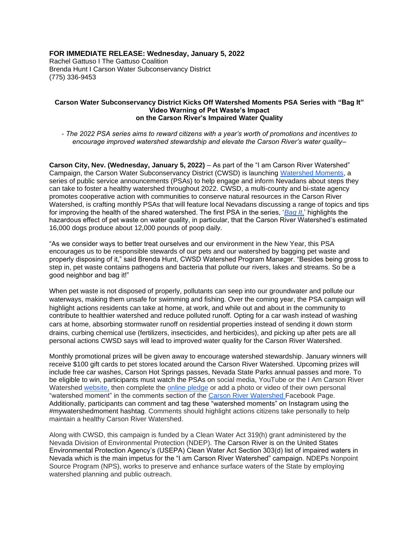# **FOR IMMEDIATE RELEASE: Wednesday, January 5, 2022**

Rachel Gattuso I The Gattuso Coalition Brenda Hunt I Carson Water Subconservancy District (775) 336-9453

### **Carson Water Subconservancy District Kicks Off Watershed Moments PSA Series with "Bag It" Video Warning of Pet Waste's Impact on the Carson River's Impaired Water Quality**

*- The 2022 PSA series aims to reward citizens with a year's worth of promotions and incentives to encourage improved watershed stewardship and elevate the Carson River's water quality–*

**Carson City, Nev. (Wednesday, January 5, 2022)** – As part of the "I am Carson River Watershed" Campaign, the Carson Water Subconservancy District (CWSD) is launching [Watershed Moments,](https://iamcarsonriver.org/) a series of public service announcements (PSAs) to help engage and inform Nevadans about steps they can take to foster a healthy watershed throughout 2022. CWSD, a multi-county and bi-state agency promotes cooperative action with communities to conserve natural resources in the Carson River Watershed, is crafting monthly PSAs that will feature local Nevadans discussing a range of topics and tips for improving the health of the shared watershed. The first PSA in the series, '*[Bag It](https://iamcarsonriver.org/bag_It/)*[,'](https://iamcarsonriver.org/bag_It/) highlights the hazardous effect of pet waste on water quality, in particular, that the Carson River Watershed's estimated 16,000 dogs produce about 12,000 pounds of poop daily.

"As we consider ways to better treat ourselves and our environment in the New Year, this PSA encourages us to be responsible stewards of our pets and our watershed by bagging pet waste and properly disposing of it," said Brenda Hunt, CWSD Watershed Program Manager. "Besides being gross to step in, pet waste contains pathogens and bacteria that pollute our rivers, lakes and streams. So be a good neighbor and bag it!"

When pet waste is not disposed of properly, pollutants can seep into our groundwater and pollute our waterways, making them unsafe for swimming and fishing. Over the coming year, the PSA campaign will highlight actions residents can take at home, at work, and while out and about in the community to contribute to healthier watershed and reduce polluted runoff. Opting for a car wash instead of washing cars at home, absorbing stormwater runoff on residential properties instead of sending it down storm drains, curbing chemical use (fertilizers, insecticides, and herbicides), and picking up after pets are all personal actions CWSD says will lead to improved water quality for the Carson River Watershed.

Monthly promotional prizes will be given away to encourage watershed stewardship. January winners will receive \$100 gift cards to pet stores located around the Carson River Watershed. Upcoming prizes will include free car washes, Carson Hot Springs passes, Nevada State Parks annual passes and more. To be eligible to win, participants must watch the PSAs on social media, YouTube or the I Am Carson River Watershed [website,](http://iamcarsonriver.org/) then complete the [online pledge](https://docs.google.com/forms/d/e/1FAIpQLSdU7MyffiroXAbyh5Z-ADw4-68HX7SobPzRH_6s80Tb-GvVjw/viewform) or add a photo or video of their own personal "watershed moment" in the comments section of the [Carson River Watershed](https://www.facebook.com/carsonriver) Facebook Page. Additionally, participants can comment and tag these "watershed moments" on Instagram using the #mywatershedmoment hashtag. Comments should highlight actions citizens take personally to help maintain a healthy Carson River Watershed.

Along with CWSD, this campaign is funded by a Clean Water Act 319(h) grant administered by the Nevada Division of Environmental Protection (NDEP). The Carson River is on the United States Environmental Protection Agency's (USEPA) Clean Water Act Section 303(d) list of impaired waters in Nevada which is the main impetus for the "I am Carson River Watershed" campaign. NDEPs Nonpoint Source Program (NPS), works to preserve and enhance surface waters of the State by employing watershed planning and public outreach.